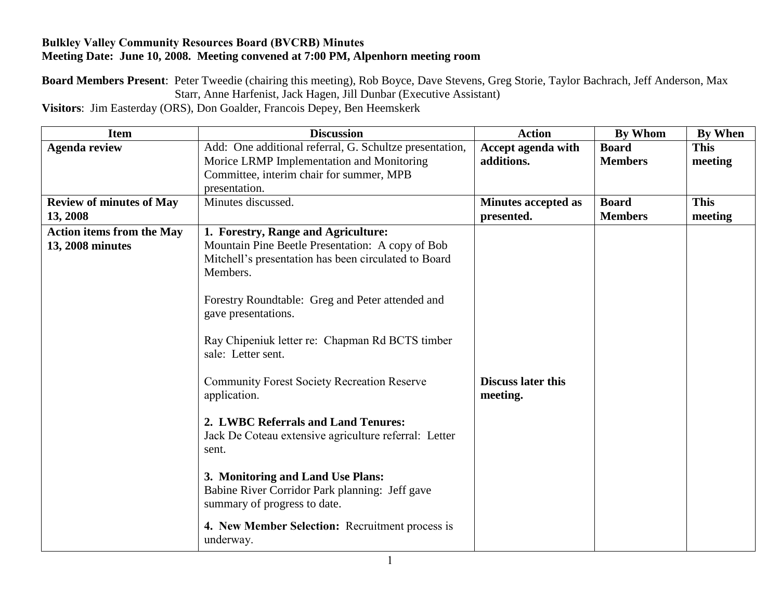## **Bulkley Valley Community Resources Board (BVCRB) Minutes Meeting Date: June 10, 2008. Meeting convened at 7:00 PM, Alpenhorn meeting room**

**Board Members Present**: Peter Tweedie (chairing this meeting), Rob Boyce, Dave Stevens, Greg Storie, Taylor Bachrach, Jeff Anderson, Max Starr, Anne Harfenist, Jack Hagen, Jill Dunbar (Executive Assistant)

**Visitors**: Jim Easterday (ORS), Don Goalder, Francois Depey, Ben Heemskerk

| <b>Item</b>                                          | <b>Discussion</b>                                                                                                                                                                                                                                                                                                                                                                                                                                                                                                                                                                                                                                                                     | <b>Action</b>                            | <b>By Whom</b>                 | <b>By When</b>         |
|------------------------------------------------------|---------------------------------------------------------------------------------------------------------------------------------------------------------------------------------------------------------------------------------------------------------------------------------------------------------------------------------------------------------------------------------------------------------------------------------------------------------------------------------------------------------------------------------------------------------------------------------------------------------------------------------------------------------------------------------------|------------------------------------------|--------------------------------|------------------------|
| <b>Agenda review</b>                                 | Add: One additional referral, G. Schultze presentation,<br>Morice LRMP Implementation and Monitoring                                                                                                                                                                                                                                                                                                                                                                                                                                                                                                                                                                                  | Accept agenda with<br>additions.         | <b>Board</b><br><b>Members</b> | <b>This</b><br>meeting |
|                                                      | Committee, interim chair for summer, MPB                                                                                                                                                                                                                                                                                                                                                                                                                                                                                                                                                                                                                                              |                                          |                                |                        |
|                                                      | presentation.                                                                                                                                                                                                                                                                                                                                                                                                                                                                                                                                                                                                                                                                         |                                          |                                |                        |
| <b>Review of minutes of May</b><br>13, 2008          | Minutes discussed.                                                                                                                                                                                                                                                                                                                                                                                                                                                                                                                                                                                                                                                                    | <b>Minutes accepted as</b><br>presented. | <b>Board</b><br><b>Members</b> | <b>This</b><br>meeting |
| <b>Action items from the May</b><br>13, 2008 minutes | 1. Forestry, Range and Agriculture:<br>Mountain Pine Beetle Presentation: A copy of Bob<br>Mitchell's presentation has been circulated to Board<br>Members.<br>Forestry Roundtable: Greg and Peter attended and<br>gave presentations.<br>Ray Chipeniuk letter re: Chapman Rd BCTS timber<br>sale: Letter sent.<br><b>Community Forest Society Recreation Reserve</b><br>application.<br>2. LWBC Referrals and Land Tenures:<br>Jack De Coteau extensive agriculture referral: Letter<br>sent.<br>3. Monitoring and Land Use Plans:<br>Babine River Corridor Park planning: Jeff gave<br>summary of progress to date.<br>4. New Member Selection: Recruitment process is<br>underway. | <b>Discuss later this</b><br>meeting.    |                                |                        |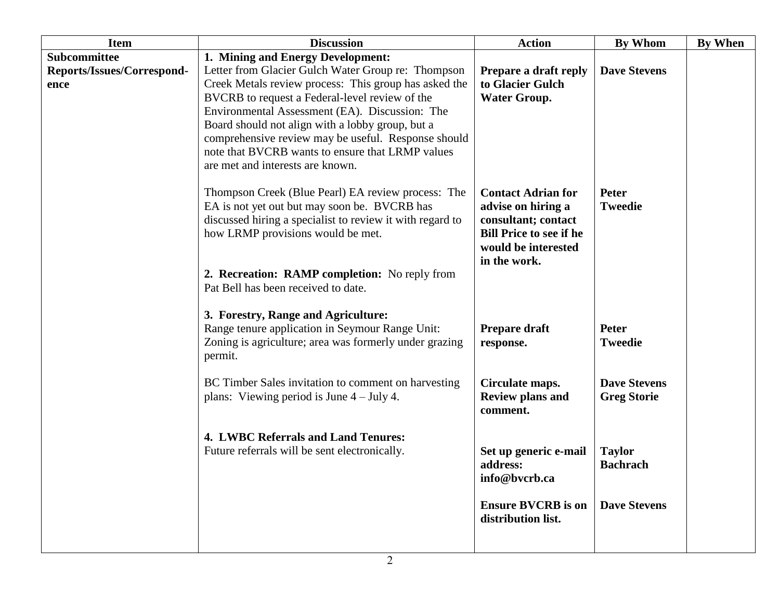| <b>Item</b>                                        | <b>Discussion</b>                                                                                                                                                                                                                                                                                                                                                                                                                                       | <b>Action</b>                                                                                                                                   | <b>By Whom</b>                                                                | By When |
|----------------------------------------------------|---------------------------------------------------------------------------------------------------------------------------------------------------------------------------------------------------------------------------------------------------------------------------------------------------------------------------------------------------------------------------------------------------------------------------------------------------------|-------------------------------------------------------------------------------------------------------------------------------------------------|-------------------------------------------------------------------------------|---------|
| Subcommittee<br>Reports/Issues/Correspond-<br>ence | 1. Mining and Energy Development:<br>Letter from Glacier Gulch Water Group re: Thompson<br>Creek Metals review process: This group has asked the<br>BVCRB to request a Federal-level review of the<br>Environmental Assessment (EA). Discussion: The<br>Board should not align with a lobby group, but a<br>comprehensive review may be useful. Response should<br>note that BVCRB wants to ensure that LRMP values<br>are met and interests are known. | Prepare a draft reply<br>to Glacier Gulch<br><b>Water Group.</b>                                                                                | <b>Dave Stevens</b>                                                           |         |
|                                                    | Thompson Creek (Blue Pearl) EA review process: The<br>EA is not yet out but may soon be. BVCRB has<br>discussed hiring a specialist to review it with regard to<br>how LRMP provisions would be met.<br>2. Recreation: RAMP completion: No reply from<br>Pat Bell has been received to date.                                                                                                                                                            | <b>Contact Adrian for</b><br>advise on hiring a<br>consultant; contact<br><b>Bill Price to see if he</b><br>would be interested<br>in the work. | <b>Peter</b><br><b>Tweedie</b>                                                |         |
|                                                    | 3. Forestry, Range and Agriculture:<br>Range tenure application in Seymour Range Unit:<br>Zoning is agriculture; area was formerly under grazing<br>permit.<br>BC Timber Sales invitation to comment on harvesting                                                                                                                                                                                                                                      | Prepare draft<br>response.<br>Circulate maps.                                                                                                   | Peter<br><b>Tweedie</b><br><b>Dave Stevens</b>                                |         |
|                                                    | plans: Viewing period is June $4 -$ July 4.<br>4. LWBC Referrals and Land Tenures:<br>Future referrals will be sent electronically.                                                                                                                                                                                                                                                                                                                     | <b>Review plans and</b><br>comment.<br>Set up generic e-mail<br>address:<br>info@bvcrb.ca<br><b>Ensure BVCRB</b> is on<br>distribution list.    | <b>Greg Storie</b><br><b>Taylor</b><br><b>Bachrach</b><br><b>Dave Stevens</b> |         |